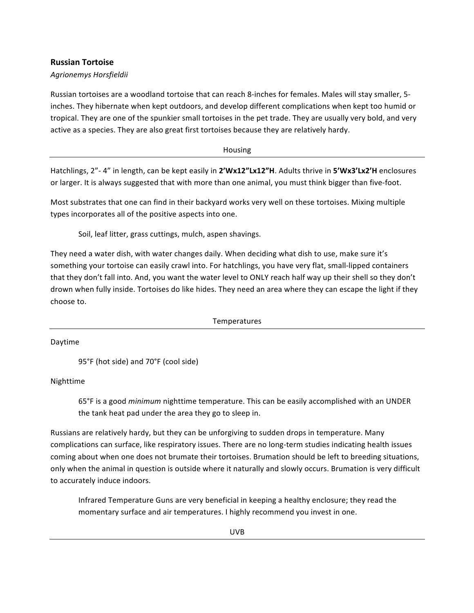## **Russian Tortoise**

## *Agrionemys Horsfieldii*

Russian tortoises are a woodland tortoise that can reach 8-inches for females. Males will stay smaller, 5inches. They hibernate when kept outdoors, and develop different complications when kept too humid or tropical. They are one of the spunkier small tortoises in the pet trade. They are usually very bold, and very active as a species. They are also great first tortoises because they are relatively hardy.

Housing

Hatchlings, 2"- 4" in length, can be kept easily in 2'Wx12"Lx12"H. Adults thrive in 5'Wx3'Lx2'H enclosures or larger. It is always suggested that with more than one animal, you must think bigger than five-foot.

Most substrates that one can find in their backyard works very well on these tortoises. Mixing multiple types incorporates all of the positive aspects into one.

Soil, leaf litter, grass cuttings, mulch, aspen shavings.

They need a water dish, with water changes daily. When deciding what dish to use, make sure it's something your tortoise can easily crawl into. For hatchlings, you have very flat, small-lipped containers that they don't fall into. And, you want the water level to ONLY reach half way up their shell so they don't drown when fully inside. Tortoises do like hides. They need an area where they can escape the light if they choose to.

Temperatures

Daytime

95°F (hot side) and 70°F (cool side)

Nighttime

65°F is a good *minimum* nighttime temperature. This can be easily accomplished with an UNDER the tank heat pad under the area they go to sleep in.

Russians are relatively hardy, but they can be unforgiving to sudden drops in temperature. Many complications can surface, like respiratory issues. There are no long-term studies indicating health issues coming about when one does not brumate their tortoises. Brumation should be left to breeding situations, only when the animal in question is outside where it naturally and slowly occurs. Brumation is very difficult to accurately induce indoors.

Infrared Temperature Guns are very beneficial in keeping a healthy enclosure; they read the momentary surface and air temperatures. I highly recommend you invest in one.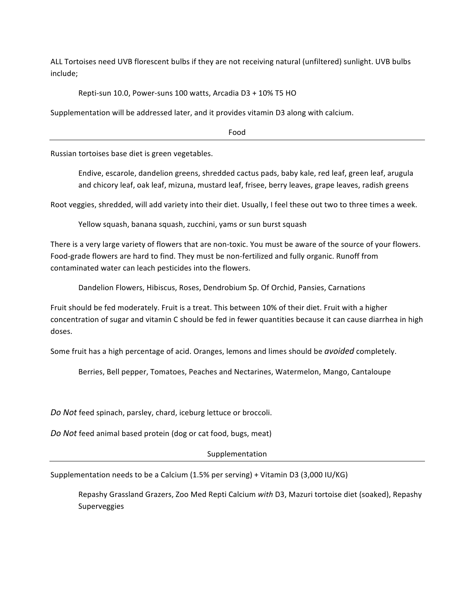ALL Tortoises need UVB florescent bulbs if they are not receiving natural (unfiltered) sunlight. UVB bulbs include;

Repti-sun 10.0, Power-suns 100 watts, Arcadia D3 + 10% T5 HO

Supplementation will be addressed later, and it provides vitamin D3 along with calcium.

Food

Russian tortoises base diet is green vegetables.

Endive, escarole, dandelion greens, shredded cactus pads, baby kale, red leaf, green leaf, arugula and chicory leaf, oak leaf, mizuna, mustard leaf, frisee, berry leaves, grape leaves, radish greens

Root veggies, shredded, will add variety into their diet. Usually, I feel these out two to three times a week.

Yellow squash, banana squash, zucchini, yams or sun burst squash

There is a very large variety of flowers that are non-toxic. You must be aware of the source of your flowers. Food-grade flowers are hard to find. They must be non-fertilized and fully organic. Runoff from contaminated water can leach pesticides into the flowers.

Dandelion Flowers, Hibiscus, Roses, Dendrobium Sp. Of Orchid, Pansies, Carnations

Fruit should be fed moderately. Fruit is a treat. This between 10% of their diet. Fruit with a higher concentration of sugar and vitamin C should be fed in fewer quantities because it can cause diarrhea in high doses. 

Some fruit has a high percentage of acid. Oranges, lemons and limes should be *avoided* completely.

Berries, Bell pepper, Tomatoes, Peaches and Nectarines, Watermelon, Mango, Cantaloupe

Do Not feed spinach, parsley, chard, iceburg lettuce or broccoli.

Do Not feed animal based protein (dog or cat food, bugs, meat)

Supplementation

Supplementation needs to be a Calcium (1.5% per serving) + Vitamin D3 (3,000 IU/KG)

Repashy Grassland Grazers, Zoo Med Repti Calcium with D3, Mazuri tortoise diet (soaked), Repashy Superveggies